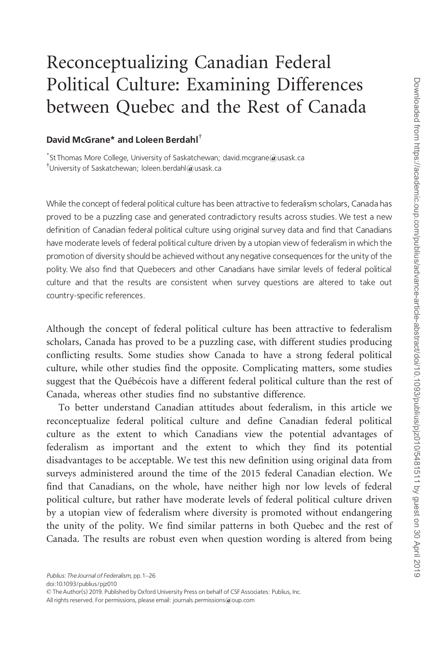# Reconceptualizing Canadian Federal Political Culture: Examining Differences between Quebec and the Rest of Canada

#### David McGrane\* and Loleen Berdahl†

\* St Thomas More College, University of Saskatchewan; david.mcgrane@usask.ca † University of Saskatchewan; loleen.berdahl@usask.ca

While the concept of federal political culture has been attractive to federalism scholars, Canada has proved to be a puzzling case and generated contradictory results across studies.We test a new definition of Canadian federal political culture using original survey data and find that Canadians have moderate levels of federal political culture driven by a utopian view of federalism in which the promotion of diversity should be achieved without any negative consequences for the unity of the polity. We also find that Quebecers and other Canadians have similar levels of federal political culture and that the results are consistent when survey questions are altered to take out country-specific references.

Although the concept of federal political culture has been attractive to federalism scholars, Canada has proved to be a puzzling case, with different studies producing conflicting results. Some studies show Canada to have a strong federal political culture, while other studies find the opposite. Complicating matters, some studies suggest that the Québécois have a different federal political culture than the rest of Canada, whereas other studies find no substantive difference.

To better understand Canadian attitudes about federalism, in this article we reconceptualize federal political culture and define Canadian federal political culture as the extent to which Canadians view the potential advantages of federalism as important and the extent to which they find its potential disadvantages to be acceptable. We test this new definition using original data from surveys administered around the time of the 2015 federal Canadian election. We find that Canadians, on the whole, have neither high nor low levels of federal political culture, but rather have moderate levels of federal political culture driven by a utopian view of federalism where diversity is promoted without endangering the unity of the polity. We find similar patterns in both Quebec and the rest of Canada. The results are robust even when question wording is altered from being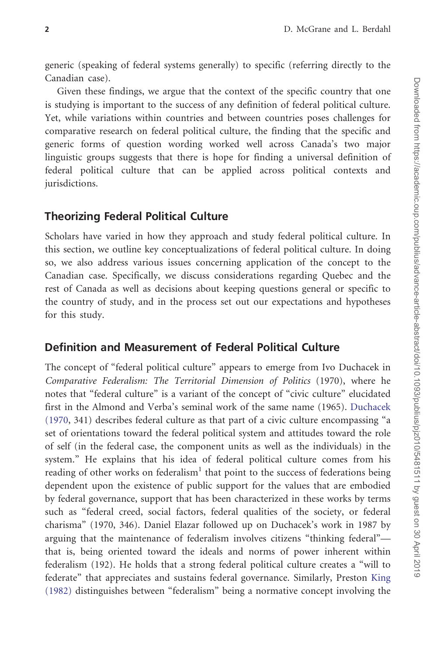generic (speaking of federal systems generally) to specific (referring directly to the Canadian case).

Given these findings, we argue that the context of the specific country that one is studying is important to the success of any definition of federal political culture. Yet, while variations within countries and between countries poses challenges for comparative research on federal political culture, the finding that the specific and generic forms of question wording worked well across Canada's two major linguistic groups suggests that there is hope for finding a universal definition of federal political culture that can be applied across political contexts and jurisdictions.

# Theorizing Federal Political Culture

Scholars have varied in how they approach and study federal political culture. In this section, we outline key conceptualizations of federal political culture. In doing so, we also address various issues concerning application of the concept to the Canadian case. Specifically, we discuss considerations regarding Quebec and the rest of Canada as well as decisions about keeping questions general or specific to the country of study, and in the process set out our expectations and hypotheses for this study.

# Definition and Measurement of Federal Political Culture

The concept of "federal political culture" appears to emerge from Ivo Duchacek in Comparative Federalism: The Territorial Dimension of Politics (1970), where he notes that "federal culture" is a variant of the concept of "civic culture" elucidated first in the Almond and Verba's seminal work of the same name (1965). [Duchacek](#page-23-0) [\(1970](#page-23-0), 341) describes federal culture as that part of a civic culture encompassing "a set of orientations toward the federal political system and attitudes toward the role of self (in the federal case, the component units as well as the individuals) in the system." He explains that his idea of federal political culture comes from his reading of other works on federalism<sup>1</sup> that point to the success of federations being dependent upon the existence of public support for the values that are embodied by federal governance, support that has been characterized in these works by terms such as "federal creed, social factors, federal qualities of the society, or federal charisma" (1970, 346). Daniel Elazar followed up on Duchacek's work in 1987 by arguing that the maintenance of federalism involves citizens "thinking federal" that is, being oriented toward the ideals and norms of power inherent within federalism (192). He holds that a strong federal political culture creates a "will to federate" that appreciates and sustains federal governance. Similarly, Preston [King](#page-23-0) [\(1982\)](#page-23-0) distinguishes between "federalism" being a normative concept involving the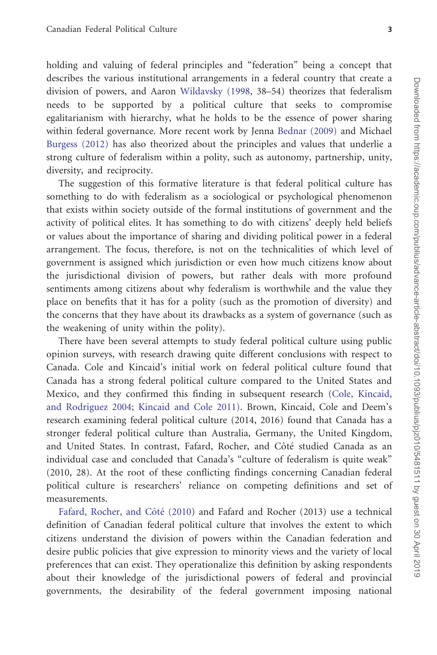holding and valuing of federal principles and "federation" being a concept that describes the various institutional arrangements in a federal country that create a division of powers, and Aaron [Wildavsky \(1998](#page-25-0), 38–54) theorizes that federalism needs to be supported by a political culture that seeks to compromise egalitarianism with hierarchy, what he holds to be the essence of power sharing within federal governance. More recent work by Jenna [Bednar \(2009\)](#page-22-0) and Michael [Burgess \(2012\)](#page-22-0) has also theorized about the principles and values that underlie a strong culture of federalism within a polity, such as autonomy, partnership, unity, diversity, and reciprocity.

The suggestion of this formative literature is that federal political culture has something to do with federalism as a sociological or psychological phenomenon that exists within society outside of the formal institutions of government and the activity of political elites. It has something to do with citizens' deeply held beliefs or values about the importance of sharing and dividing political power in a federal arrangement. The focus, therefore, is not on the technicalities of which level of government is assigned which jurisdiction or even how much citizens know about the jurisdictional division of powers, but rather deals with more profound sentiments among citizens about why federalism is worthwhile and the value they place on benefits that it has for a polity (such as the promotion of diversity) and the concerns that they have about its drawbacks as a system of governance (such as the weakening of unity within the polity).

There have been several attempts to study federal political culture using public opinion surveys, with research drawing quite different conclusions with respect to Canada. Cole and Kincaid's initial work on federal political culture found that Canada has a strong federal political culture compared to the United States and Mexico, and they confirmed this finding in subsequent research [\(Cole, Kincaid,](#page-22-0) [and Rodriguez 2004](#page-22-0); [Kincaid and Cole 2011\)](#page-23-0). Brown, Kincaid, Cole and Deem's research examining federal political culture (2014, 2016) found that Canada has a stronger federal political culture than Australia, Germany, the United Kingdom, and United States. In contrast, Fafard, Rocher, and Côté studied Canada as an individual case and concluded that Canada's "culture of federalism is quite weak" (2010, 28). At the root of these conflicting findings concerning Canadian federal political culture is researchers' reliance on competing definitions and set of measurements.

Fafard, Rocher, and Côté (2010) and Fafard and Rocher (2013) use a technical definition of Canadian federal political culture that involves the extent to which citizens understand the division of powers within the Canadian federation and desire public policies that give expression to minority views and the variety of local preferences that can exist. They operationalize this definition by asking respondents about their knowledge of the jurisdictional powers of federal and provincial governments, the desirability of the federal government imposing national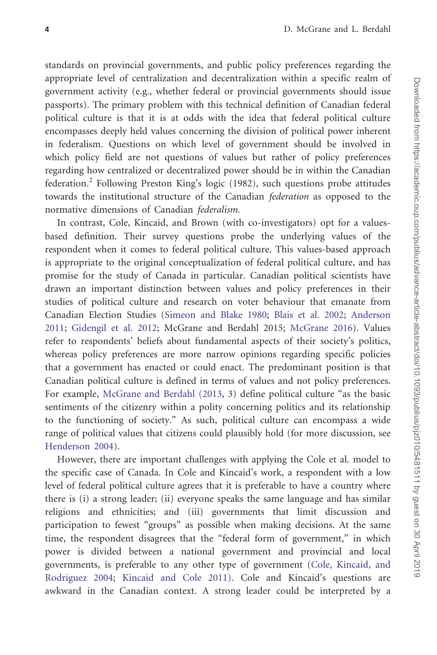standards on provincial governments, and public policy preferences regarding the appropriate level of centralization and decentralization within a specific realm of government activity (e.g., whether federal or provincial governments should issue passports). The primary problem with this technical definition of Canadian federal political culture is that it is at odds with the idea that federal political culture encompasses deeply held values concerning the division of political power inherent in federalism. Questions on which level of government should be involved in which policy field are not questions of values but rather of policy preferences regarding how centralized or decentralized power should be in within the Canadian federation.2 Following Preston King's logic (1982), such questions probe attitudes towards the institutional structure of the Canadian federation as opposed to the normative dimensions of Canadian federalism.

In contrast, Cole, Kincaid, and Brown (with co-investigators) opt for a valuesbased definition. Their survey questions probe the underlying values of the respondent when it comes to federal political culture. This values-based approach is appropriate to the original conceptualization of federal political culture, and has promise for the study of Canada in particular. Canadian political scientists have drawn an important distinction between values and policy preferences in their studies of political culture and research on voter behaviour that emanate from Canadian Election Studies ([Simeon and Blake 1980;](#page-24-0) [Blais et al. 2002;](#page-22-0) [Anderson](#page-22-0) [2011;](#page-22-0) [Gidengil et al. 2012](#page-23-0); McGrane and Berdahl 2015; [McGrane 2016\)](#page-24-0). Values refer to respondents' beliefs about fundamental aspects of their society's politics, whereas policy preferences are more narrow opinions regarding specific policies that a government has enacted or could enact. The predominant position is that Canadian political culture is defined in terms of values and not policy preferences. For example, [McGrane and Berdahl \(2013](#page-24-0), 3) define political culture "as the basic sentiments of the citizenry within a polity concerning politics and its relationship to the functioning of society." As such, political culture can encompass a wide range of political values that citizens could plausibly hold (for more discussion, see [Henderson 2004](#page-23-0)).

However, there are important challenges with applying the Cole et al. model to the specific case of Canada. In Cole and Kincaid's work, a respondent with a low level of federal political culture agrees that it is preferable to have a country where there is (i) a strong leader; (ii) everyone speaks the same language and has similar religions and ethnicities; and (iii) governments that limit discussion and participation to fewest "groups" as possible when making decisions. At the same time, the respondent disagrees that the "federal form of government," in which power is divided between a national government and provincial and local governments, is preferable to any other type of government ([Cole, Kincaid, and](#page-22-0) [Rodriguez 2004;](#page-22-0) [Kincaid and Cole 2011\).](#page-23-0) Cole and Kincaid's questions are awkward in the Canadian context. A strong leader could be interpreted by a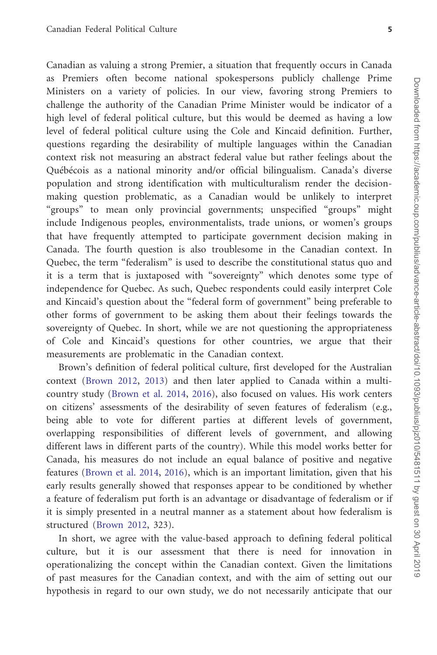Canadian as valuing a strong Premier, a situation that frequently occurs in Canada as Premiers often become national spokespersons publicly challenge Prime Ministers on a variety of policies. In our view, favoring strong Premiers to challenge the authority of the Canadian Prime Minister would be indicator of a high level of federal political culture, but this would be deemed as having a low level of federal political culture using the Cole and Kincaid definition. Further, questions regarding the desirability of multiple languages within the Canadian context risk not measuring an abstract federal value but rather feelings about the Québécois as a national minority and/or official bilingualism. Canada's diverse population and strong identification with multiculturalism render the decisionmaking question problematic, as a Canadian would be unlikely to interpret "groups" to mean only provincial governments; unspecified "groups" might include Indigenous peoples, environmentalists, trade unions, or women's groups that have frequently attempted to participate government decision making in Canada. The fourth question is also troublesome in the Canadian context. In Quebec, the term "federalism" is used to describe the constitutional status quo and it is a term that is juxtaposed with "sovereignty" which denotes some type of independence for Quebec. As such, Quebec respondents could easily interpret Cole and Kincaid's question about the "federal form of government" being preferable to other forms of government to be asking them about their feelings towards the sovereignty of Quebec. In short, while we are not questioning the appropriateness of Cole and Kincaid's questions for other countries, we argue that their measurements are problematic in the Canadian context.

Brown's definition of federal political culture, first developed for the Australian context ([Brown 2012,](#page-22-0) [2013](#page-22-0)) and then later applied to Canada within a multicountry study [\(Brown et al. 2014,](#page-22-0) [2016](#page-22-0)), also focused on values. His work centers on citizens' assessments of the desirability of seven features of federalism (e.g., being able to vote for different parties at different levels of government, overlapping responsibilities of different levels of government, and allowing different laws in different parts of the country). While this model works better for Canada, his measures do not include an equal balance of positive and negative features [\(Brown et al. 2014,](#page-22-0) [2016\)](#page-22-0), which is an important limitation, given that his early results generally showed that responses appear to be conditioned by whether a feature of federalism put forth is an advantage or disadvantage of federalism or if it is simply presented in a neutral manner as a statement about how federalism is structured [\(Brown 2012](#page-22-0), 323).

In short, we agree with the value-based approach to defining federal political culture, but it is our assessment that there is need for innovation in operationalizing the concept within the Canadian context. Given the limitations of past measures for the Canadian context, and with the aim of setting out our hypothesis in regard to our own study, we do not necessarily anticipate that our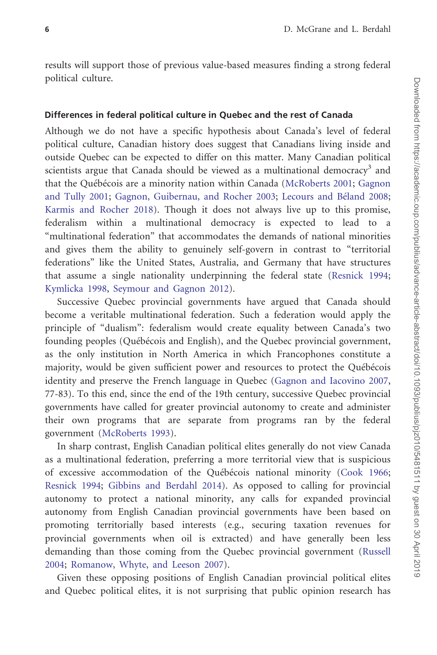results will support those of previous value-based measures finding a strong federal political culture.

#### Differences in federal political culture in Quebec and the rest of Canada

Although we do not have a specific hypothesis about Canada's level of federal political culture, Canadian history does suggest that Canadians living inside and outside Quebec can be expected to differ on this matter. Many Canadian political scientists argue that Canada should be viewed as a multinational democracy<sup>3</sup> and that the Québécois are a minority nation within Canada [\(McRoberts 2001;](#page-24-0) [Gagnon](#page-23-0) [and Tully 2001](#page-23-0); [Gagnon, Guibernau, and Rocher 2003](#page-23-0); [Lecours and B](#page-24-0)éland 2008; [Karmis and Rocher 2018\)](#page-23-0). Though it does not always live up to this promise, federalism within a multinational democracy is expected to lead to a "multinational federation" that accommodates the demands of national minorities and gives them the ability to genuinely self-govern in contrast to "territorial federations" like the United States, Australia, and Germany that have structures that assume a single nationality underpinning the federal state ([Resnick 1994;](#page-24-0) [Kymlicka 1998,](#page-24-0) [Seymour and Gagnon 2012](#page-24-0)).

Successive Quebec provincial governments have argued that Canada should become a veritable multinational federation. Such a federation would apply the principle of "dualism": federalism would create equality between Canada's two founding peoples (Québécois and English), and the Quebec provincial government, as the only institution in North America in which Francophones constitute a majority, would be given sufficient power and resources to protect the Québécois identity and preserve the French language in Quebec [\(Gagnon and Iacovino 2007,](#page-23-0) 77-83). To this end, since the end of the 19th century, successive Quebec provincial governments have called for greater provincial autonomy to create and administer their own programs that are separate from programs ran by the federal government ([McRoberts 1993](#page-24-0)).

In sharp contrast, English Canadian political elites generally do not view Canada as a multinational federation, preferring a more territorial view that is suspicious of excessive accommodation of the Québécois national minority ([Cook 1966;](#page-23-0) [Resnick 1994;](#page-24-0) [Gibbins and Berdahl 2014](#page-23-0)). As opposed to calling for provincial autonomy to protect a national minority, any calls for expanded provincial autonomy from English Canadian provincial governments have been based on promoting territorially based interests (e.g., securing taxation revenues for provincial governments when oil is extracted) and have generally been less demanding than those coming from the Quebec provincial government [\(Russell](#page-24-0) [2004;](#page-24-0) [Romanow, Whyte, and Leeson 2007](#page-24-0)).

Given these opposing positions of English Canadian provincial political elites and Quebec political elites, it is not surprising that public opinion research has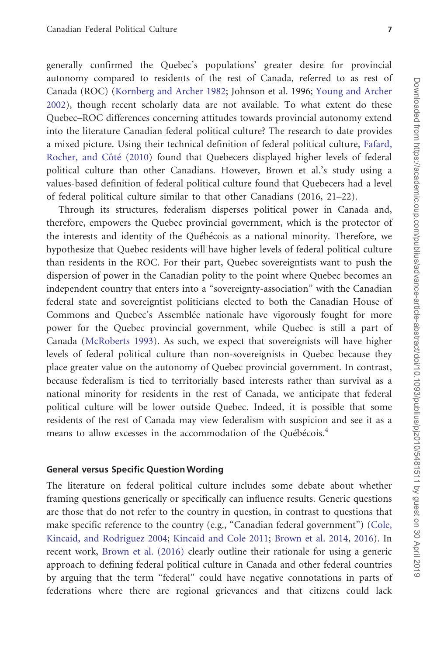generally confirmed the Quebec's populations' greater desire for provincial autonomy compared to residents of the rest of Canada, referred to as rest of Canada (ROC) ([Kornberg and Archer 1982](#page-24-0); Johnson et al. 1996; [Young and Archer](#page-25-0) [2002](#page-25-0)), though recent scholarly data are not available. To what extent do these Quebec–ROC differences concerning attitudes towards provincial autonomy extend into the literature Canadian federal political culture? The research to date provides a mixed picture. Using their technical definition of federal political culture, [Fafard,](#page-23-0) Rocher, and Côté [\(2010](#page-23-0)) found that Quebecers displayed higher levels of federal political culture than other Canadians. However, Brown et al.'s study using a values-based definition of federal political culture found that Quebecers had a level of federal political culture similar to that other Canadians (2016, 21–22).

Through its structures, federalism disperses political power in Canada and, therefore, empowers the Quebec provincial government, which is the protector of the interests and identity of the Québécois as a national minority. Therefore, we hypothesize that Quebec residents will have higher levels of federal political culture than residents in the ROC. For their part, Quebec sovereigntists want to push the dispersion of power in the Canadian polity to the point where Quebec becomes an independent country that enters into a "sovereignty-association" with the Canadian federal state and sovereigntist politicians elected to both the Canadian House of Commons and Quebec's Assemblée nationale have vigorously fought for more power for the Quebec provincial government, while Quebec is still a part of Canada [\(McRoberts 1993\)](#page-24-0). As such, we expect that sovereignists will have higher levels of federal political culture than non-sovereignists in Quebec because they place greater value on the autonomy of Quebec provincial government. In contrast, because federalism is tied to territorially based interests rather than survival as a national minority for residents in the rest of Canada, we anticipate that federal political culture will be lower outside Quebec. Indeed, it is possible that some residents of the rest of Canada may view federalism with suspicion and see it as a means to allow excesses in the accommodation of the Québécois.<sup>4</sup>

#### General versus Specific Question Wording

The literature on federal political culture includes some debate about whether framing questions generically or specifically can influence results. Generic questions are those that do not refer to the country in question, in contrast to questions that make specific reference to the country (e.g., "Canadian federal government") ([Cole,](#page-22-0) [Kincaid, and Rodriguez 2004](#page-22-0); [Kincaid and Cole 2011;](#page-23-0) [Brown et al. 2014](#page-22-0), [2016](#page-22-0)). In recent work, [Brown et al. \(2016\)](#page-22-0) clearly outline their rationale for using a generic approach to defining federal political culture in Canada and other federal countries by arguing that the term "federal" could have negative connotations in parts of federations where there are regional grievances and that citizens could lack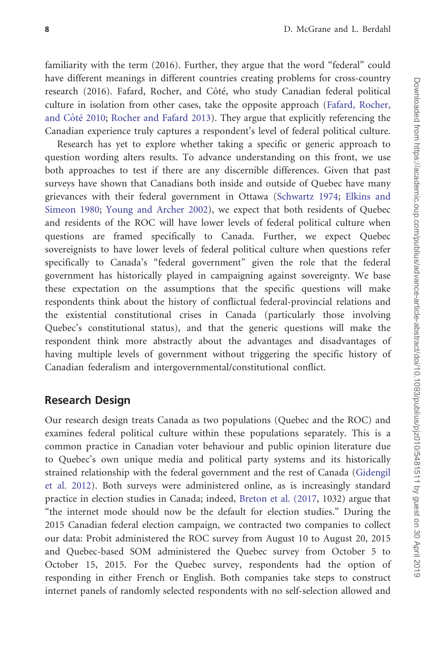familiarity with the term (2016). Further, they argue that the word "federal" could have different meanings in different countries creating problems for cross-country research (2016). Fafard, Rocher, and Côté, who study Canadian federal political culture in isolation from other cases, take the opposite approach [\(Fafard, Rocher,](#page-23-0) and Côté [2010](#page-23-0); [Rocher and Fafard 2013](#page-24-0)). They argue that explicitly referencing the Canadian experience truly captures a respondent's level of federal political culture.

Research has yet to explore whether taking a specific or generic approach to question wording alters results. To advance understanding on this front, we use both approaches to test if there are any discernible differences. Given that past surveys have shown that Canadians both inside and outside of Quebec have many grievances with their federal government in Ottawa ([Schwartz 1974](#page-24-0); [Elkins and](#page-23-0) [Simeon 1980](#page-23-0); [Young and Archer 2002\)](#page-25-0), we expect that both residents of Quebec and residents of the ROC will have lower levels of federal political culture when questions are framed specifically to Canada. Further, we expect Quebec sovereignists to have lower levels of federal political culture when questions refer specifically to Canada's "federal government" given the role that the federal government has historically played in campaigning against sovereignty. We base these expectation on the assumptions that the specific questions will make respondents think about the history of conflictual federal-provincial relations and the existential constitutional crises in Canada (particularly those involving Quebec's constitutional status), and that the generic questions will make the respondent think more abstractly about the advantages and disadvantages of having multiple levels of government without triggering the specific history of Canadian federalism and intergovernmental/constitutional conflict.

#### Research Design

Our research design treats Canada as two populations (Quebec and the ROC) and examines federal political culture within these populations separately. This is a common practice in Canadian voter behaviour and public opinion literature due to Quebec's own unique media and political party systems and its historically strained relationship with the federal government and the rest of Canada ([Gidengil](#page-23-0) [et al. 2012](#page-23-0)). Both surveys were administered online, as is increasingly standard practice in election studies in Canada; indeed, [Breton et al. \(2017](#page-22-0), 1032) argue that "the internet mode should now be the default for election studies." During the 2015 Canadian federal election campaign, we contracted two companies to collect our data: Probit administered the ROC survey from August 10 to August 20, 2015 and Quebec-based SOM administered the Quebec survey from October 5 to October 15, 2015. For the Quebec survey, respondents had the option of responding in either French or English. Both companies take steps to construct internet panels of randomly selected respondents with no self-selection allowed and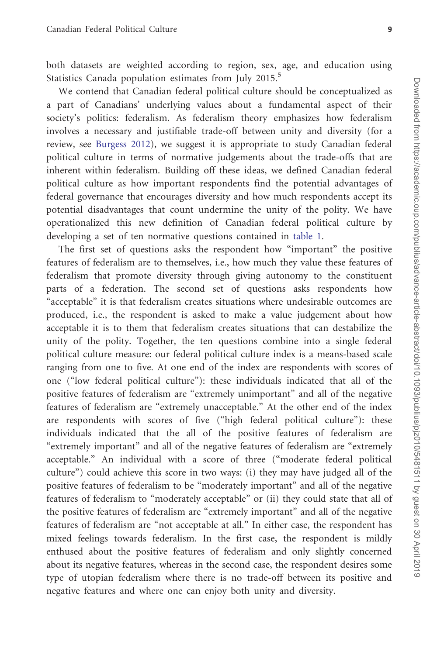both datasets are weighted according to region, sex, age, and education using Statistics Canada population estimates from July 2015.<sup>5</sup>

We contend that Canadian federal political culture should be conceptualized as a part of Canadians' underlying values about a fundamental aspect of their society's politics: federalism. As federalism theory emphasizes how federalism involves a necessary and justifiable trade-off between unity and diversity (for a review, see [Burgess 2012\)](#page-22-0), we suggest it is appropriate to study Canadian federal political culture in terms of normative judgements about the trade-offs that are inherent within federalism. Building off these ideas, we defined Canadian federal political culture as how important respondents find the potential advantages of federal governance that encourages diversity and how much respondents accept its potential disadvantages that count undermine the unity of the polity. We have operationalized this new definition of Canadian federal political culture by developing a set of ten normative questions contained in [table 1.](#page-9-0)

The first set of questions asks the respondent how "important" the positive features of federalism are to themselves, i.e., how much they value these features of federalism that promote diversity through giving autonomy to the constituent parts of a federation. The second set of questions asks respondents how "acceptable" it is that federalism creates situations where undesirable outcomes are produced, i.e., the respondent is asked to make a value judgement about how acceptable it is to them that federalism creates situations that can destabilize the unity of the polity. Together, the ten questions combine into a single federal political culture measure: our federal political culture index is a means-based scale ranging from one to five. At one end of the index are respondents with scores of one ("low federal political culture"): these individuals indicated that all of the positive features of federalism are "extremely unimportant" and all of the negative features of federalism are "extremely unacceptable." At the other end of the index are respondents with scores of five ("high federal political culture"): these individuals indicated that the all of the positive features of federalism are "extremely important" and all of the negative features of federalism are "extremely acceptable." An individual with a score of three ("moderate federal political culture") could achieve this score in two ways: (i) they may have judged all of the positive features of federalism to be "moderately important" and all of the negative features of federalism to "moderately acceptable" or (ii) they could state that all of the positive features of federalism are "extremely important" and all of the negative features of federalism are "not acceptable at all." In either case, the respondent has mixed feelings towards federalism. In the first case, the respondent is mildly enthused about the positive features of federalism and only slightly concerned about its negative features, whereas in the second case, the respondent desires some type of utopian federalism where there is no trade-off between its positive and negative features and where one can enjoy both unity and diversity.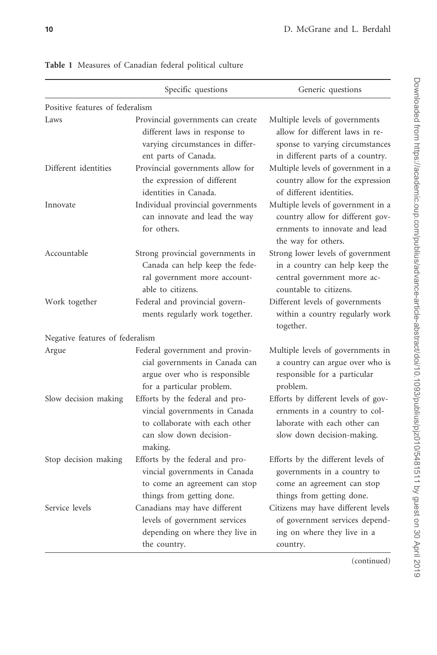|                                 | Specific questions                                                                                                                       | Generic questions                                                                                                                        |
|---------------------------------|------------------------------------------------------------------------------------------------------------------------------------------|------------------------------------------------------------------------------------------------------------------------------------------|
| Positive features of federalism |                                                                                                                                          |                                                                                                                                          |
| Laws                            | Provincial governments can create<br>different laws in response to<br>varying circumstances in differ-<br>ent parts of Canada.           | Multiple levels of governments<br>allow for different laws in re-<br>sponse to varying circumstances<br>in different parts of a country. |
| Different identities            | Provincial governments allow for<br>the expression of different<br>identities in Canada.                                                 | Multiple levels of government in a<br>country allow for the expression<br>of different identities.                                       |
| Innovate                        | Individual provincial governments<br>can innovate and lead the way<br>for others.                                                        | Multiple levels of government in a<br>country allow for different gov-<br>ernments to innovate and lead<br>the way for others.           |
| Accountable                     | Strong provincial governments in<br>Canada can help keep the fede-<br>ral government more account-<br>able to citizens.                  | Strong lower levels of government<br>in a country can help keep the<br>central government more ac-<br>countable to citizens.             |
| Work together                   | Federal and provincial govern-<br>ments regularly work together.                                                                         | Different levels of governments<br>within a country regularly work<br>together.                                                          |
| Negative features of federalism |                                                                                                                                          |                                                                                                                                          |
| Argue                           | Federal government and provin-<br>cial governments in Canada can<br>argue over who is responsible<br>for a particular problem.           | Multiple levels of governments in<br>a country can argue over who is<br>responsible for a particular<br>problem.                         |
| Slow decision making            | Efforts by the federal and pro-<br>vincial governments in Canada<br>to collaborate with each other<br>can slow down decision-<br>making. | Efforts by different levels of gov-<br>ernments in a country to col-<br>laborate with each other can<br>slow down decision-making.       |
| Stop decision making            | Efforts by the federal and pro-<br>vincial governments in Canada<br>to come an agreement can stop<br>things from getting done.           | Efforts by the different levels of<br>governments in a country to<br>come an agreement can stop<br>things from getting done.             |
| Service levels                  | Canadians may have different<br>levels of government services<br>depending on where they live in<br>the country.                         | Citizens may have different levels<br>of government services depend-<br>ing on where they live in a<br>country.                          |

<span id="page-9-0"></span>Table 1 Measures of Canadian federal political culture

(continued)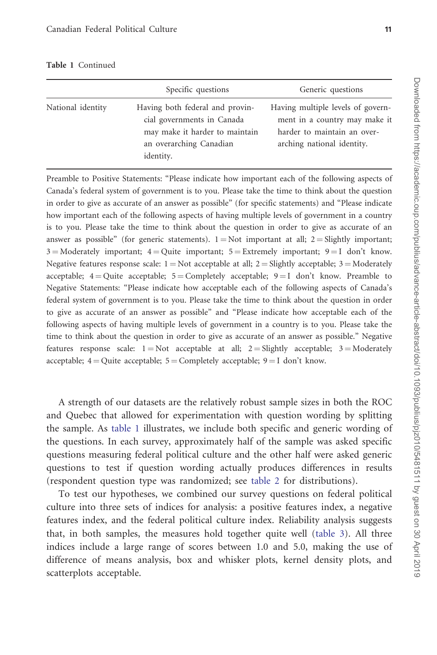|  |  | Table 1 Continued |  |
|--|--|-------------------|--|
|--|--|-------------------|--|

|                   | Specific questions                                                                                                                      | Generic questions                                                                                                               |
|-------------------|-----------------------------------------------------------------------------------------------------------------------------------------|---------------------------------------------------------------------------------------------------------------------------------|
| National identity | Having both federal and provin-<br>cial governments in Canada<br>may make it harder to maintain<br>an overarching Canadian<br>identity. | Having multiple levels of govern-<br>ment in a country may make it<br>harder to maintain an over-<br>arching national identity. |

Preamble to Positive Statements: "Please indicate how important each of the following aspects of Canada's federal system of government is to you. Please take the time to think about the question in order to give as accurate of an answer as possible" (for specific statements) and "Please indicate how important each of the following aspects of having multiple levels of government in a country is to you. Please take the time to think about the question in order to give as accurate of an answer as possible" (for generic statements).  $1 = Not$  important at all;  $2 = S$ lightly important;  $3 =$ Moderately important;  $4 =$ Quite important;  $5 =$ Extremely important;  $9 =$ I don't know. Negative features response scale:  $1 = Not$  acceptable at all;  $2 = S$ lightly acceptable;  $3 = Modern$ acceptable;  $4 = \text{Quite}$  acceptable;  $5 = \text{Completely}$  acceptable;  $9 = I$  don't know. Preamble to Negative Statements: "Please indicate how acceptable each of the following aspects of Canada's federal system of government is to you. Please take the time to think about the question in order to give as accurate of an answer as possible" and "Please indicate how acceptable each of the following aspects of having multiple levels of government in a country is to you. Please take the time to think about the question in order to give as accurate of an answer as possible." Negative features response scale:  $1 = Not$  acceptable at all;  $2 = S$ lightly acceptable;  $3 = Moderned$ acceptable;  $4 =$ Quite acceptable;  $5 =$ Completely acceptable;  $9 =$ I don't know.

A strength of our datasets are the relatively robust sample sizes in both the ROC and Quebec that allowed for experimentation with question wording by splitting the sample. As [table 1](#page-9-0) illustrates, we include both specific and generic wording of the questions. In each survey, approximately half of the sample was asked specific questions measuring federal political culture and the other half were asked generic questions to test if question wording actually produces differences in results (respondent question type was randomized; see [table 2](#page-11-0) for distributions).

To test our hypotheses, we combined our survey questions on federal political culture into three sets of indices for analysis: a positive features index, a negative features index, and the federal political culture index. Reliability analysis suggests that, in both samples, the measures hold together quite well ([table 3](#page-11-0)). All three indices include a large range of scores between 1.0 and 5.0, making the use of difference of means analysis, box and whisker plots, kernel density plots, and scatterplots acceptable.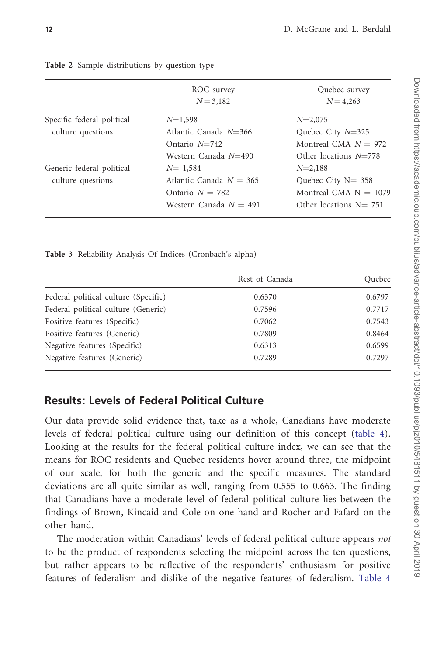|                            | ROC survey<br>$N = 3,182$ | Quebec survey<br>$N = 4,263$ |
|----------------------------|---------------------------|------------------------------|
| Specific federal political | $N=1,598$                 | $N = 2,075$                  |
| culture questions          | Atlantic Canada N=366     | Quebec City $N=325$          |
|                            | Ontario $N=742$           | Montreal CMA $N = 972$       |
|                            | Western Canada N=490      | Other locations $N=778$      |
| Generic federal political  | $N = 1,584$               | $N = 2.188$                  |
| culture questions          | Atlantic Canada $N = 365$ | Quebec City $N = 358$        |
|                            | Ontario $N = 782$         | Montreal CMA $N = 1079$      |
|                            | Western Canada $N = 491$  | Other locations $N = 751$    |
|                            |                           |                              |

<span id="page-11-0"></span>Table 2 Sample distributions by question type

Table 3 Reliability Analysis Of Indices (Cronbach's alpha)

|                                      | Rest of Canada | Quebec |
|--------------------------------------|----------------|--------|
| Federal political culture (Specific) | 0.6370         | 0.6797 |
| Federal political culture (Generic)  | 0.7596         | 0.7717 |
| Positive features (Specific)         | 0.7062         | 0.7543 |
| Positive features (Generic)          | 0.7809         | 0.8464 |
| Negative features (Specific)         | 0.6313         | 0.6599 |
| Negative features (Generic)          | 0.7289         | 0.7297 |

## Results: Levels of Federal Political Culture

Our data provide solid evidence that, take as a whole, Canadians have moderate levels of federal political culture using our definition of this concept ([table 4](#page-12-0)). Looking at the results for the federal political culture index, we can see that the means for ROC residents and Quebec residents hover around three, the midpoint of our scale, for both the generic and the specific measures. The standard deviations are all quite similar as well, ranging from 0.555 to 0.663. The finding that Canadians have a moderate level of federal political culture lies between the findings of Brown, Kincaid and Cole on one hand and Rocher and Fafard on the other hand.

The moderation within Canadians' levels of federal political culture appears not to be the product of respondents selecting the midpoint across the ten questions, but rather appears to be reflective of the respondents' enthusiasm for positive features of federalism and dislike of the negative features of federalism. [Table 4](#page-12-0)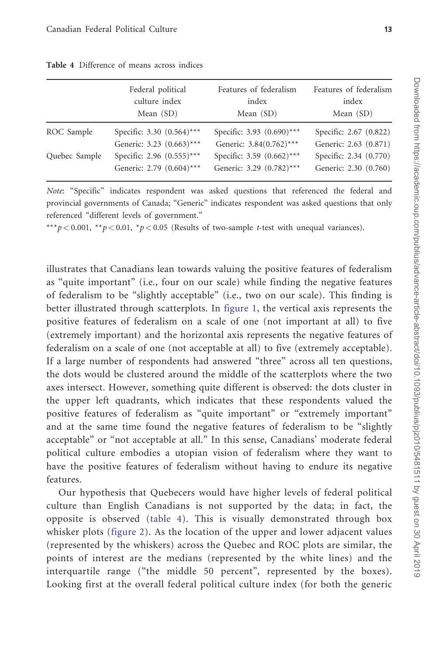|               | Federal political<br>culture index<br>Mean $(SD)$ | Features of federalism<br>index<br>Mean (SD) | Features of federalism<br>index<br>Mean $(SD)$ |
|---------------|---------------------------------------------------|----------------------------------------------|------------------------------------------------|
| ROC Sample    | Specific: 3.30 $(0.564)$ ***                      | Specific: 3.93 $(0.690)$ ***                 | Specific: 2.67 (0.822)                         |
|               | Generic: 3.23 (0.663)***                          | Generic: 3.84(0.762)***                      | Generic: 2.63 (0.871)                          |
| Quebec Sample | Specific: 2.96 $(0.555)$ ***                      | Specific: 3.59 (0.662)***                    | Specific: 2.34 (0.770)                         |
|               | Generic: 2.79 (0.604)***                          | Generic: 3.29 (0.782)***                     | Generic: 2.30 (0.760)                          |

<span id="page-12-0"></span>Table 4 Difference of means across indices

Note: "Specific" indicates respondent was asked questions that referenced the federal and provincial governments of Canada; "Generic" indicates respondent was asked questions that only referenced "different levels of government."

\*\*\*p < 0.001, \*\*p < 0.01, \*p < 0.05 (Results of two-sample t-test with unequal variances).

illustrates that Canadians lean towards valuing the positive features of federalism as "quite important" (i.e., four on our scale) while finding the negative features of federalism to be "slightly acceptable" (i.e., two on our scale). This finding is better illustrated through scatterplots. In [figure 1,](#page-13-0) the vertical axis represents the positive features of federalism on a scale of one (not important at all) to five (extremely important) and the horizontal axis represents the negative features of federalism on a scale of one (not acceptable at all) to five (extremely acceptable). If a large number of respondents had answered "three" across all ten questions, the dots would be clustered around the middle of the scatterplots where the two axes intersect. However, something quite different is observed: the dots cluster in the upper left quadrants, which indicates that these respondents valued the positive features of federalism as "quite important" or "extremely important" and at the same time found the negative features of federalism to be "slightly acceptable" or "not acceptable at all." In this sense, Canadians' moderate federal political culture embodies a utopian vision of federalism where they want to have the positive features of federalism without having to endure its negative features.

Our hypothesis that Quebecers would have higher levels of federal political culture than English Canadians is not supported by the data; in fact, the opposite is observed (table 4). This is visually demonstrated through box whisker plots ([figure 2\)](#page-14-0). As the location of the upper and lower adjacent values (represented by the whiskers) across the Quebec and ROC plots are similar, the points of interest are the medians (represented by the white lines) and the interquartile range ("the middle 50 percent", represented by the boxes). Looking first at the overall federal political culture index (for both the generic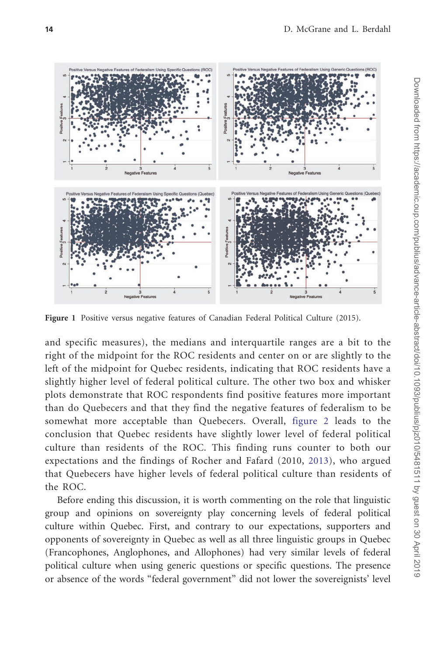<span id="page-13-0"></span>

Figure 1 Positive versus negative features of Canadian Federal Political Culture (2015).

and specific measures), the medians and interquartile ranges are a bit to the right of the midpoint for the ROC residents and center on or are slightly to the left of the midpoint for Quebec residents, indicating that ROC residents have a slightly higher level of federal political culture. The other two box and whisker plots demonstrate that ROC respondents find positive features more important than do Quebecers and that they find the negative features of federalism to be somewhat more acceptable than Quebecers. Overall, [figure 2](#page-14-0) leads to the conclusion that Quebec residents have slightly lower level of federal political culture than residents of the ROC. This finding runs counter to both our expectations and the findings of Rocher and Fafard (2010, [2013\)](#page-24-0), who argued that Quebecers have higher levels of federal political culture than residents of the ROC.

Before ending this discussion, it is worth commenting on the role that linguistic group and opinions on sovereignty play concerning levels of federal political culture within Quebec. First, and contrary to our expectations, supporters and opponents of sovereignty in Quebec as well as all three linguistic groups in Quebec (Francophones, Anglophones, and Allophones) had very similar levels of federal political culture when using generic questions or specific questions. The presence or absence of the words "federal government" did not lower the sovereignists' level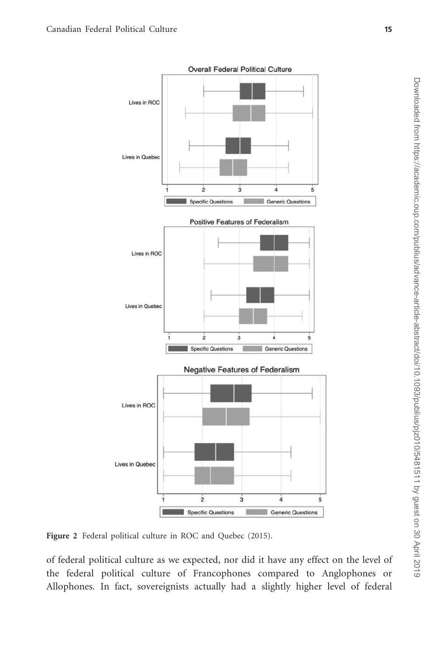<span id="page-14-0"></span>

Figure 2 Federal political culture in ROC and Quebec (2015).

of federal political culture as we expected, nor did it have any effect on the level of the federal political culture of Francophones compared to Anglophones or Allophones. In fact, sovereignists actually had a slightly higher level of federal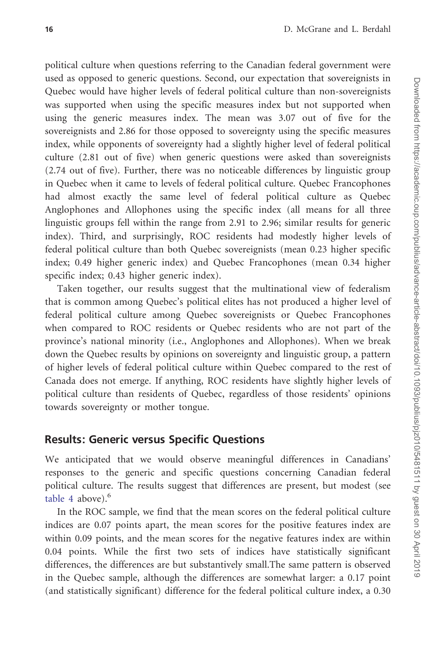political culture when questions referring to the Canadian federal government were used as opposed to generic questions. Second, our expectation that sovereignists in Quebec would have higher levels of federal political culture than non-sovereignists was supported when using the specific measures index but not supported when using the generic measures index. The mean was 3.07 out of five for the sovereignists and 2.86 for those opposed to sovereignty using the specific measures index, while opponents of sovereignty had a slightly higher level of federal political culture (2.81 out of five) when generic questions were asked than sovereignists (2.74 out of five). Further, there was no noticeable differences by linguistic group in Quebec when it came to levels of federal political culture. Quebec Francophones had almost exactly the same level of federal political culture as Quebec Anglophones and Allophones using the specific index (all means for all three linguistic groups fell within the range from 2.91 to 2.96; similar results for generic index). Third, and surprisingly, ROC residents had modestly higher levels of federal political culture than both Quebec sovereignists (mean 0.23 higher specific index; 0.49 higher generic index) and Quebec Francophones (mean 0.34 higher specific index; 0.43 higher generic index).

Taken together, our results suggest that the multinational view of federalism that is common among Quebec's political elites has not produced a higher level of federal political culture among Quebec sovereignists or Quebec Francophones when compared to ROC residents or Quebec residents who are not part of the province's national minority (i.e., Anglophones and Allophones). When we break down the Quebec results by opinions on sovereignty and linguistic group, a pattern of higher levels of federal political culture within Quebec compared to the rest of Canada does not emerge. If anything, ROC residents have slightly higher levels of political culture than residents of Quebec, regardless of those residents' opinions towards sovereignty or mother tongue.

#### Results: Generic versus Specific Questions

We anticipated that we would observe meaningful differences in Canadians' responses to the generic and specific questions concerning Canadian federal political culture. The results suggest that differences are present, but modest (see [table 4](#page-12-0) above). $^6$ 

In the ROC sample, we find that the mean scores on the federal political culture indices are 0.07 points apart, the mean scores for the positive features index are within 0.09 points, and the mean scores for the negative features index are within 0.04 points. While the first two sets of indices have statistically significant differences, the differences are but substantively small.The same pattern is observed in the Quebec sample, although the differences are somewhat larger: a 0.17 point (and statistically significant) difference for the federal political culture index, a 0.30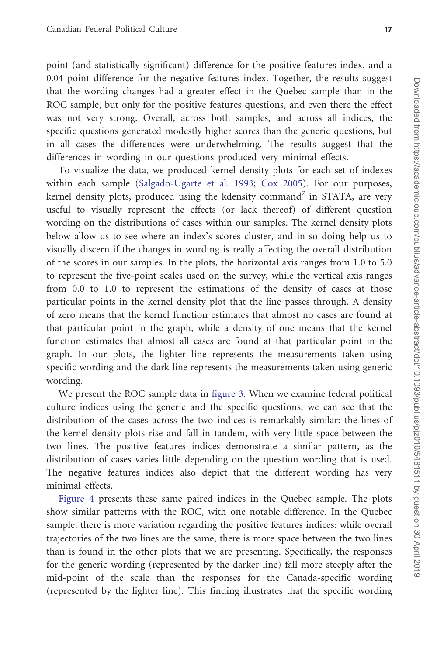point (and statistically significant) difference for the positive features index, and a 0.04 point difference for the negative features index. Together, the results suggest that the wording changes had a greater effect in the Quebec sample than in the ROC sample, but only for the positive features questions, and even there the effect was not very strong. Overall, across both samples, and across all indices, the specific questions generated modestly higher scores than the generic questions, but in all cases the differences were underwhelming. The results suggest that the differences in wording in our questions produced very minimal effects.

To visualize the data, we produced kernel density plots for each set of indexes within each sample [\(Salgado-Ugarte et al. 1993;](#page-24-0) [Cox 2005](#page-23-0)). For our purposes, kernel density plots, produced using the kdensity command $\ell$  in STATA, are very useful to visually represent the effects (or lack thereof) of different question wording on the distributions of cases within our samples. The kernel density plots below allow us to see where an index's scores cluster, and in so doing help us to visually discern if the changes in wording is really affecting the overall distribution of the scores in our samples. In the plots, the horizontal axis ranges from 1.0 to 5.0 to represent the five-point scales used on the survey, while the vertical axis ranges from 0.0 to 1.0 to represent the estimations of the density of cases at those particular points in the kernel density plot that the line passes through. A density of zero means that the kernel function estimates that almost no cases are found at that particular point in the graph, while a density of one means that the kernel function estimates that almost all cases are found at that particular point in the graph. In our plots, the lighter line represents the measurements taken using specific wording and the dark line represents the measurements taken using generic wording.

We present the ROC sample data in [figure 3.](#page-17-0) When we examine federal political culture indices using the generic and the specific questions, we can see that the distribution of the cases across the two indices is remarkably similar: the lines of the kernel density plots rise and fall in tandem, with very little space between the two lines. The positive features indices demonstrate a similar pattern, as the distribution of cases varies little depending on the question wording that is used. The negative features indices also depict that the different wording has very minimal effects.

[Figure 4](#page-18-0) presents these same paired indices in the Quebec sample. The plots show similar patterns with the ROC, with one notable difference. In the Quebec sample, there is more variation regarding the positive features indices: while overall trajectories of the two lines are the same, there is more space between the two lines than is found in the other plots that we are presenting. Specifically, the responses for the generic wording (represented by the darker line) fall more steeply after the mid-point of the scale than the responses for the Canada-specific wording (represented by the lighter line). This finding illustrates that the specific wording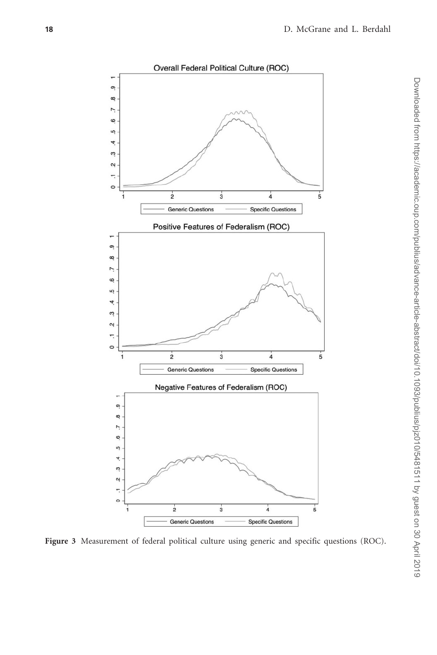<span id="page-17-0"></span>

Figure 3 Measurement of federal political culture using generic and specific questions (ROC).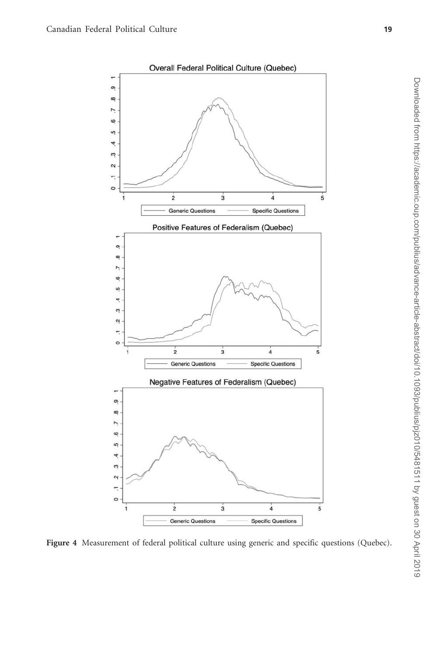<span id="page-18-0"></span>

Figure 4 Measurement of federal political culture using generic and specific questions (Quebec).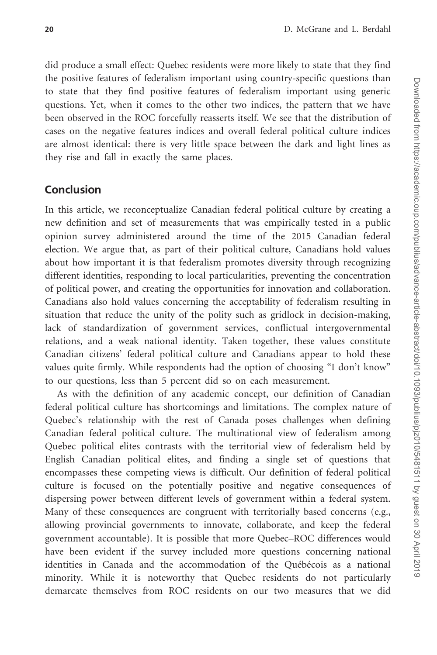did produce a small effect: Quebec residents were more likely to state that they find the positive features of federalism important using country-specific questions than to state that they find positive features of federalism important using generic questions. Yet, when it comes to the other two indices, the pattern that we have been observed in the ROC forcefully reasserts itself. We see that the distribution of cases on the negative features indices and overall federal political culture indices are almost identical: there is very little space between the dark and light lines as they rise and fall in exactly the same places.

# Conclusion

In this article, we reconceptualize Canadian federal political culture by creating a new definition and set of measurements that was empirically tested in a public opinion survey administered around the time of the 2015 Canadian federal election. We argue that, as part of their political culture, Canadians hold values about how important it is that federalism promotes diversity through recognizing different identities, responding to local particularities, preventing the concentration of political power, and creating the opportunities for innovation and collaboration. Canadians also hold values concerning the acceptability of federalism resulting in situation that reduce the unity of the polity such as gridlock in decision-making, lack of standardization of government services, conflictual intergovernmental relations, and a weak national identity. Taken together, these values constitute Canadian citizens' federal political culture and Canadians appear to hold these values quite firmly. While respondents had the option of choosing "I don't know" to our questions, less than 5 percent did so on each measurement.

As with the definition of any academic concept, our definition of Canadian federal political culture has shortcomings and limitations. The complex nature of Quebec's relationship with the rest of Canada poses challenges when defining Canadian federal political culture. The multinational view of federalism among Quebec political elites contrasts with the territorial view of federalism held by English Canadian political elites, and finding a single set of questions that encompasses these competing views is difficult. Our definition of federal political culture is focused on the potentially positive and negative consequences of dispersing power between different levels of government within a federal system. Many of these consequences are congruent with territorially based concerns (e.g., allowing provincial governments to innovate, collaborate, and keep the federal government accountable). It is possible that more Quebec–ROC differences would have been evident if the survey included more questions concerning national identities in Canada and the accommodation of the Québécois as a national minority. While it is noteworthy that Quebec residents do not particularly demarcate themselves from ROC residents on our two measures that we did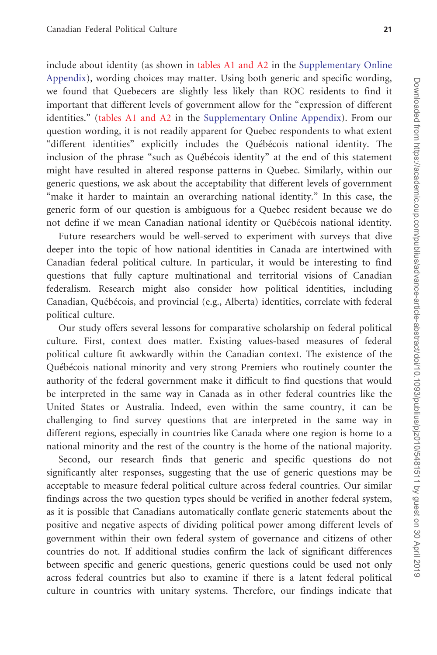include about identity (as shown in tables A1 and A2 in the [Supplementary Online](https://academic.oup.com/publius/article-lookup/doi/10.1093/publius/pjz010#supplementary-data) [Appendix](https://academic.oup.com/publius/article-lookup/doi/10.1093/publius/pjz010#supplementary-data)), wording choices may matter. Using both generic and specific wording, we found that Quebecers are slightly less likely than ROC residents to find it important that different levels of government allow for the "expression of different identities." (tables A1 and A2 in the [Supplementary Online Appendix](https://academic.oup.com/publius/article-lookup/doi/10.1093/publius/pjz010#supplementary-data)). From our question wording, it is not readily apparent for Quebec respondents to what extent "different identities" explicitly includes the Québécois national identity. The inclusion of the phrase "such as Québécois identity" at the end of this statement might have resulted in altered response patterns in Quebec. Similarly, within our generic questions, we ask about the acceptability that different levels of government "make it harder to maintain an overarching national identity." In this case, the generic form of our question is ambiguous for a Quebec resident because we do not define if we mean Canadian national identity or Québécois national identity.

Future researchers would be well-served to experiment with surveys that dive deeper into the topic of how national identities in Canada are intertwined with Canadian federal political culture. In particular, it would be interesting to find questions that fully capture multinational and territorial visions of Canadian federalism. Research might also consider how political identities, including Canadian, Québécois, and provincial (e.g., Alberta) identities, correlate with federal political culture.

Our study offers several lessons for comparative scholarship on federal political culture. First, context does matter. Existing values-based measures of federal political culture fit awkwardly within the Canadian context. The existence of the Québécois national minority and very strong Premiers who routinely counter the authority of the federal government make it difficult to find questions that would be interpreted in the same way in Canada as in other federal countries like the United States or Australia. Indeed, even within the same country, it can be challenging to find survey questions that are interpreted in the same way in different regions, especially in countries like Canada where one region is home to a national minority and the rest of the country is the home of the national majority.

Second, our research finds that generic and specific questions do not significantly alter responses, suggesting that the use of generic questions may be acceptable to measure federal political culture across federal countries. Our similar findings across the two question types should be verified in another federal system, as it is possible that Canadians automatically conflate generic statements about the positive and negative aspects of dividing political power among different levels of government within their own federal system of governance and citizens of other countries do not. If additional studies confirm the lack of significant differences between specific and generic questions, generic questions could be used not only across federal countries but also to examine if there is a latent federal political culture in countries with unitary systems. Therefore, our findings indicate that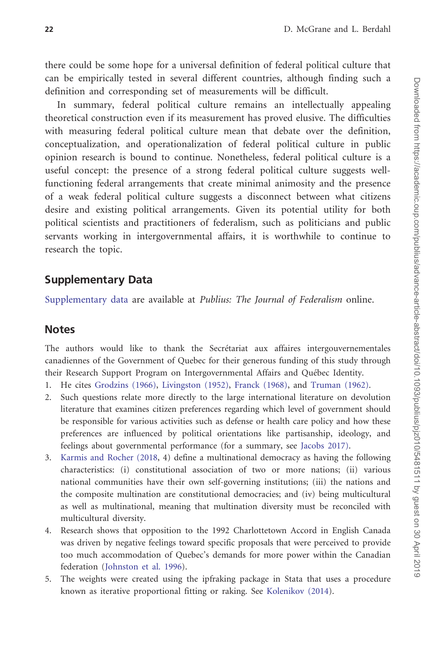there could be some hope for a universal definition of federal political culture that can be empirically tested in several different countries, although finding such a definition and corresponding set of measurements will be difficult.

In summary, federal political culture remains an intellectually appealing theoretical construction even if its measurement has proved elusive. The difficulties with measuring federal political culture mean that debate over the definition, conceptualization, and operationalization of federal political culture in public opinion research is bound to continue. Nonetheless, federal political culture is a useful concept: the presence of a strong federal political culture suggests wellfunctioning federal arrangements that create minimal animosity and the presence of a weak federal political culture suggests a disconnect between what citizens desire and existing political arrangements. Given its potential utility for both political scientists and practitioners of federalism, such as politicians and public servants working in intergovernmental affairs, it is worthwhile to continue to research the topic.

## Supplementary Data

[Supplementary data](https://academic.oup.com/publius/article-lookup/doi/10.1093/publius/pjz010#supplementary-data) are available at Publius: The Journal of Federalism online.

## **Notes**

The authors would like to thank the Secrétariat aux affaires intergouvernementales canadiennes of the Government of Quebec for their generous funding of this study through their Research Support Program on Intergovernmental Affairs and Québec Identity.

- 1. He cites [Grodzins \(1966\)](#page-23-0), [Livingston \(1952\)](#page-24-0), [Franck \(1968\)](#page-23-0), and [Truman \(1962\).](#page-25-0)
- 2. Such questions relate more directly to the large international literature on devolution literature that examines citizen preferences regarding which level of government should be responsible for various activities such as defense or health care policy and how these preferences are influenced by political orientations like partisanship, ideology, and feelings about governmental performance (for a summary, see [Jacobs 2017\).](#page-23-0)
- 3. [Karmis and Rocher \(2018,](#page-23-0) 4) define a multinational democracy as having the following characteristics: (i) constitutional association of two or more nations; (ii) various national communities have their own self-governing institutions; (iii) the nations and the composite multination are constitutional democracies; and (iv) being multicultural as well as multinational, meaning that multination diversity must be reconciled with multicultural diversity.
- 4. Research shows that opposition to the 1992 Charlottetown Accord in English Canada was driven by negative feelings toward specific proposals that were perceived to provide too much accommodation of Quebec's demands for more power within the Canadian federation ([Johnston et al. 1996\)](#page-23-0).
- 5. The weights were created using the ipfraking package in Stata that uses a procedure known as iterative proportional fitting or raking. See [Kolenikov \(2014\)](#page-24-0).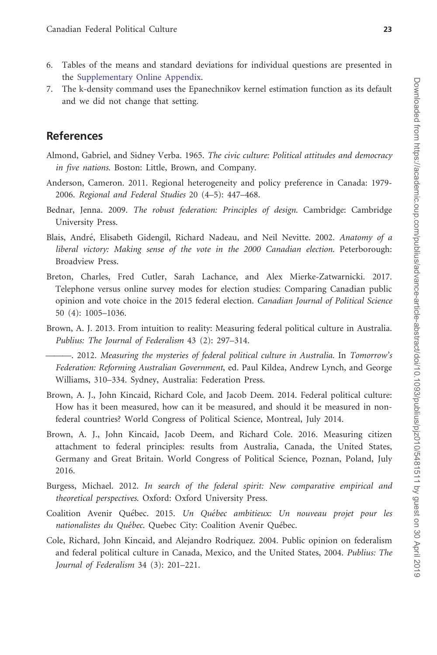- <span id="page-22-0"></span>6. Tables of the means and standard deviations for individual questions are presented in the [Supplementary Online Appendix.](https://academic.oup.com/publius/article-lookup/doi/10.1093/publius/pjz010#supplementary-data)
- 7. The k-density command uses the Epanechnikov kernel estimation function as its default and we did not change that setting.

#### References

- Almond, Gabriel, and Sidney Verba. 1965. The civic culture: Political attitudes and democracy in five nations. Boston: Little, Brown, and Company.
- Anderson, Cameron. 2011. Regional heterogeneity and policy preference in Canada: 1979- 2006. Regional and Federal Studies 20 (4–5): 447–468.
- Bednar, Jenna. 2009. The robust federation: Principles of design. Cambridge: Cambridge University Press.
- Blais, André, Elisabeth Gidengil, Richard Nadeau, and Neil Nevitte. 2002. Anatomy of a liberal victory: Making sense of the vote in the 2000 Canadian election. Peterborough: Broadview Press.
- Breton, Charles, Fred Cutler, Sarah Lachance, and Alex Mierke-Zatwarnicki. 2017. Telephone versus online survey modes for election studies: Comparing Canadian public opinion and vote choice in the 2015 federal election. Canadian Journal of Political Science 50 (4): 1005–1036.
- Brown, A. J. 2013. From intuition to reality: Measuring federal political culture in Australia. Publius: The Journal of Federalism 43 (2): 297–314.

———. 2012. Measuring the mysteries of federal political culture in Australia. In Tomorrow's Federation: Reforming Australian Government, ed. Paul Kildea, Andrew Lynch, and George Williams, 310–334. Sydney, Australia: Federation Press.

- Brown, A. J., John Kincaid, Richard Cole, and Jacob Deem. 2014. Federal political culture: How has it been measured, how can it be measured, and should it be measured in nonfederal countries? World Congress of Political Science, Montreal, July 2014.
- Brown, A. J., John Kincaid, Jacob Deem, and Richard Cole. 2016. Measuring citizen attachment to federal principles: results from Australia, Canada, the United States, Germany and Great Britain. World Congress of Political Science, Poznan, Poland, July 2016.
- Burgess, Michael. 2012. In search of the federal spirit: New comparative empirical and theoretical perspectives. Oxford: Oxford University Press.
- Coalition Avenir Québec. 2015. Un Québec ambitieux: Un nouveau projet pour les nationalistes du Québec. Quebec City: Coalition Avenir Québec.
- Cole, Richard, John Kincaid, and Alejandro Rodriquez. 2004. Public opinion on federalism and federal political culture in Canada, Mexico, and the United States, 2004. Publius: The Journal of Federalism 34 (3): 201–221.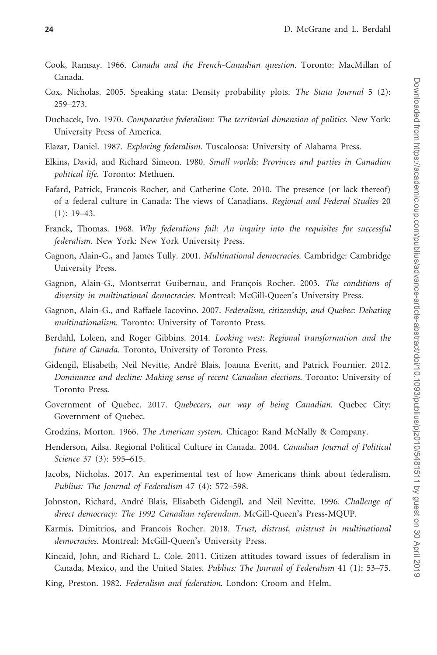- <span id="page-23-0"></span>Cook, Ramsay. 1966. Canada and the French-Canadian question. Toronto: MacMillan of Canada.
- Cox, Nicholas. 2005. Speaking stata: Density probability plots. The Stata Journal 5 (2): 259–273.
- Duchacek, Ivo. 1970. Comparative federalism: The territorial dimension of politics. New York: University Press of America.
- Elazar, Daniel. 1987. Exploring federalism. Tuscaloosa: University of Alabama Press.
- Elkins, David, and Richard Simeon. 1980. Small worlds: Provinces and parties in Canadian political life. Toronto: Methuen.
- Fafard, Patrick, Francois Rocher, and Catherine Cote. 2010. The presence (or lack thereof) of a federal culture in Canada: The views of Canadians. Regional and Federal Studies 20 (1): 19–43.
- Franck, Thomas. 1968. Why federations fail: An inquiry into the requisites for successful federalism. New York: New York University Press.
- Gagnon, Alain-G., and James Tully. 2001. Multinational democracies. Cambridge: Cambridge University Press.
- Gagnon, Alain-G., Montserrat Guibernau, and Francois Rocher. 2003. The conditions of diversity in multinational democracies. Montreal: McGill-Queen's University Press.
- Gagnon, Alain-G., and Raffaele Iacovino. 2007. Federalism, citizenship, and Quebec: Debating multinationalism. Toronto: University of Toronto Press.
- Berdahl, Loleen, and Roger Gibbins. 2014. Looking west: Regional transformation and the future of Canada. Toronto, University of Toronto Press.
- Gidengil, Elisabeth, Neil Nevitte, André Blais, Joanna Everitt, and Patrick Fournier. 2012. Dominance and decline: Making sense of recent Canadian elections. Toronto: University of Toronto Press.
- Government of Quebec. 2017. Quebecers, our way of being Canadian. Quebec City: Government of Quebec.
- Grodzins, Morton. 1966. The American system. Chicago: Rand McNally & Company.
- Henderson, Ailsa. Regional Political Culture in Canada. 2004. Canadian Journal of Political Science 37 (3): 595-615.
- Jacobs, Nicholas. 2017. An experimental test of how Americans think about federalism. Publius: The Journal of Federalism 47 (4): 572–598.
- Johnston, Richard, André Blais, Elisabeth Gidengil, and Neil Nevitte. 1996. Challenge of direct democracy: The 1992 Canadian referendum. McGill-Queen's Press-MQUP.
- Karmis, Dimitrios, and Francois Rocher. 2018. Trust, distrust, mistrust in multinational democracies. Montreal: McGill-Queen's University Press.
- Kincaid, John, and Richard L. Cole. 2011. Citizen attitudes toward issues of federalism in Canada, Mexico, and the United States. Publius: The Journal of Federalism 41 (1): 53–75.
- King, Preston. 1982. Federalism and federation. London: Croom and Helm.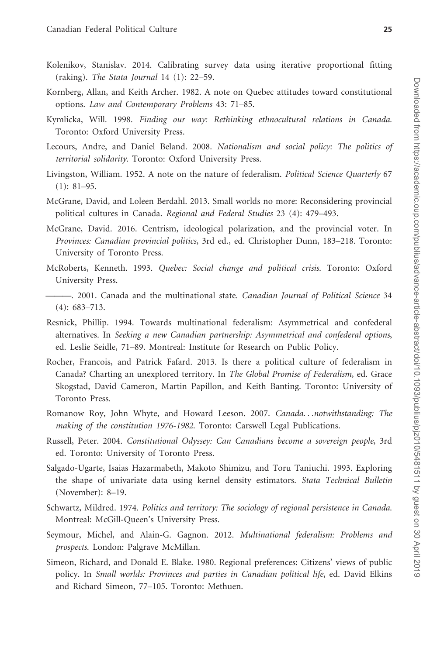- <span id="page-24-0"></span>Kolenikov, Stanislav. 2014. Calibrating survey data using iterative proportional fitting (raking). The Stata Journal 14 (1): 22–59.
- Kornberg, Allan, and Keith Archer. 1982. A note on Quebec attitudes toward constitutional options. Law and Contemporary Problems 43: 71–85.
- Kymlicka, Will. 1998. Finding our way: Rethinking ethnocultural relations in Canada. Toronto: Oxford University Press.
- Lecours, Andre, and Daniel Beland. 2008. Nationalism and social policy: The politics of territorial solidarity. Toronto: Oxford University Press.
- Livingston, William. 1952. A note on the nature of federalism. Political Science Quarterly 67  $(1): 81-95.$
- McGrane, David, and Loleen Berdahl. 2013. Small worlds no more: Reconsidering provincial political cultures in Canada. Regional and Federal Studies 23 (4): 479–493.
- McGrane, David. 2016. Centrism, ideological polarization, and the provincial voter. In Provinces: Canadian provincial politics, 3rd ed., ed. Christopher Dunn, 183–218. Toronto: University of Toronto Press.
- McRoberts, Kenneth. 1993. Quebec: Social change and political crisis. Toronto: Oxford University Press.
- -. 2001. Canada and the multinational state. Canadian Journal of Political Science 34 (4): 683–713.
- Resnick, Phillip. 1994. Towards multinational federalism: Asymmetrical and confederal alternatives. In Seeking a new Canadian partnership: Asymmetrical and confederal options, ed. Leslie Seidle, 71–89. Montreal: Institute for Research on Public Policy.
- Rocher, Francois, and Patrick Fafard. 2013. Is there a political culture of federalism in Canada? Charting an unexplored territory. In The Global Promise of Federalism, ed. Grace Skogstad, David Cameron, Martin Papillon, and Keith Banting. Toronto: University of Toronto Press.
- Romanow Roy, John Whyte, and Howard Leeson. 2007. Canada...notwithstanding: The making of the constitution 1976-1982. Toronto: Carswell Legal Publications.
- Russell, Peter. 2004. Constitutional Odyssey: Can Canadians become a sovereign people, 3rd ed. Toronto: University of Toronto Press.
- Salgado-Ugarte, Isaias Hazarmabeth, Makoto Shimizu, and Toru Taniuchi. 1993. Exploring the shape of univariate data using kernel density estimators. Stata Technical Bulletin (November): 8–19.
- Schwartz, Mildred. 1974. Politics and territory: The sociology of regional persistence in Canada. Montreal: McGill-Queen's University Press.
- Seymour, Michel, and Alain-G. Gagnon. 2012. Multinational federalism: Problems and prospects. London: Palgrave McMillan.
- Simeon, Richard, and Donald E. Blake. 1980. Regional preferences: Citizens' views of public policy. In Small worlds: Provinces and parties in Canadian political life, ed. David Elkins and Richard Simeon, 77–105. Toronto: Methuen.